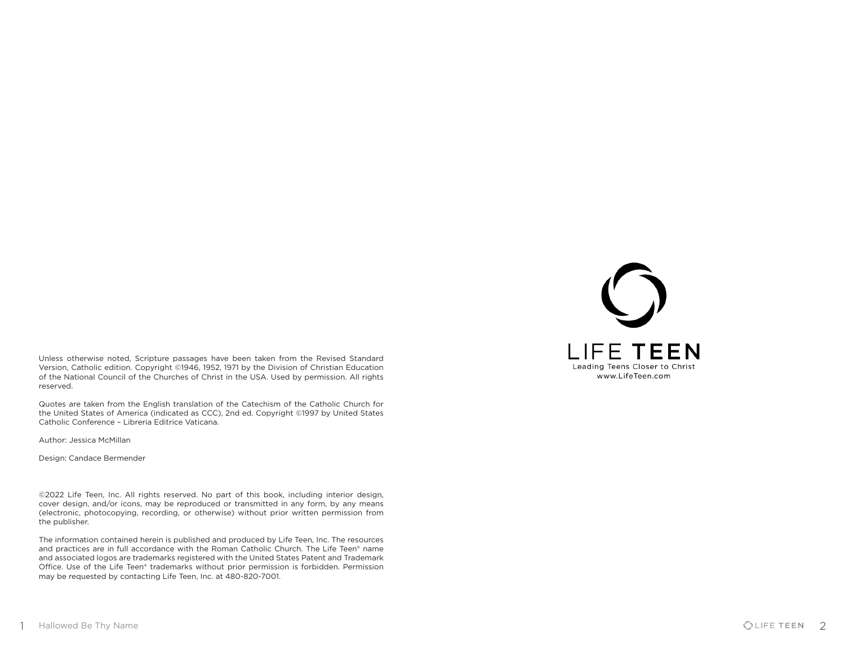

Unless otherwise noted, Scripture passages have been taken from the Revised Standard Version, Catholic edition. Copyright ©1946, 1952, 1971 by the Division of Christian Education of the National Council of the Churches of Christ in the USA. Used by permission. All rights reserved.

Quotes are taken from the English translation of the Catechism of the Catholic Church for the United States of America (indicated as CCC), 2nd ed. Copyright ©1997 by United States Catholic Conference – Libreria Editrice Vaticana.

Author: Jessica McMillan

Design: Candace Bermender

©2022 Life Teen, Inc. All rights reserved. No part of this book, including interior design, cover design, and/or icons, may be reproduced or transmitted in any form, by any means (electronic, photocopying, recording, or otherwise) without prior written permission from the publisher.

The information contained herein is published and produced by Life Teen, Inc. The resources and practices are in full accordance with the Roman Catholic Church. The Life Teen® name and associated logos are trademarks registered with the United States Patent and Trademark Office. Use of the Life Teen® trademarks without prior permission is forbidden. Permission may be requested by contacting Life Teen, Inc. at 480-820-7001.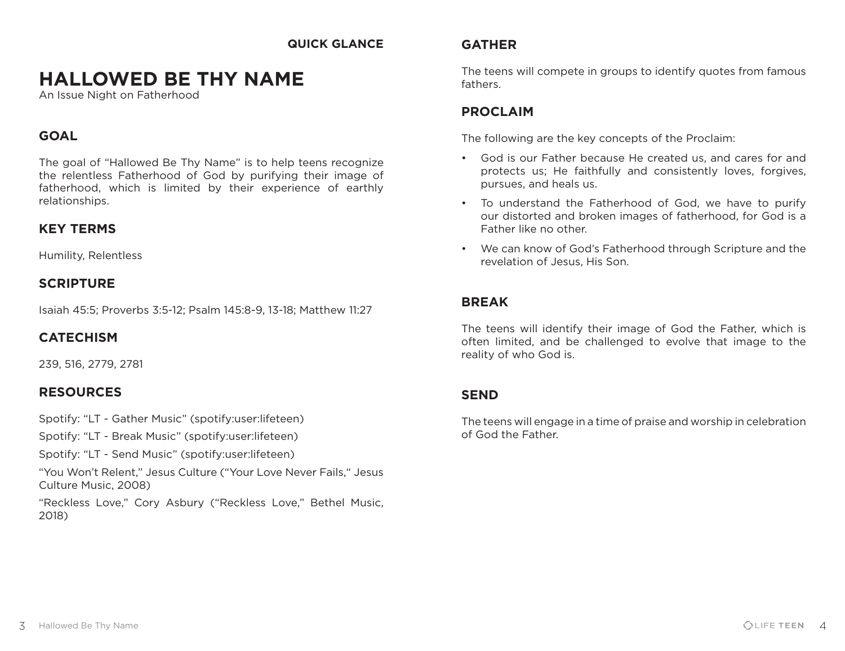#### **QUICK GLANCE**

## **HALLOWED BE THY NAME**

An Issue Night on Fatherhood

## **GOAL**

The goal of "Hallowed Be Thy Name" is to help teens recognize the relentless Fatherhood of God by purifying their image of fatherhood, which is limited by their experience of earthly relationships.

## **KEY TERMS**

Humility, Relentless

## **SCRIPTURE**

Isaiah 45:5; Proverbs 3:5-12; Psalm 145:8-9, 13-18; Matthew 11:27

## **CATECHISM**

239, 516, 2779, 2781

## **RESOURCES**

Spotify: "LT - Gather Music" (spotify:user:lifeteen)

Spotify: "LT - Break Music" (spotify:user:lifeteen)

Spotify: "LT - Send Music" (spotify:user:lifeteen)

"You Won't Relent," Jesus Culture ("Your Love Never Fails," Jesus Culture Music, 2008)

"Reckless Love," Cory Asbury ("Reckless Love," Bethel Music, 2018)

## **GATHER**

The teens will compete in groups to identify quotes from famous fathers.

## **PROCLAIM**

The following are the key concepts of the Proclaim:

- God is our Father because He created us, and cares for and protects us; He faithfully and consistently loves, forgives, pursues, and heals us.
- To understand the Fatherhood of God, we have to purify our distorted and broken images of fatherhood, for God is a Father like no other.
- We can know of God's Fatherhood through Scripture and the revelation of Jesus, His Son.

## **BREAK**

The teens will identify their image of God the Father, which is often limited, and be challenged to evolve that image to the reality of who God is.

## **SEND**

The teens will engage in a time of praise and worship in celebration of God the Father.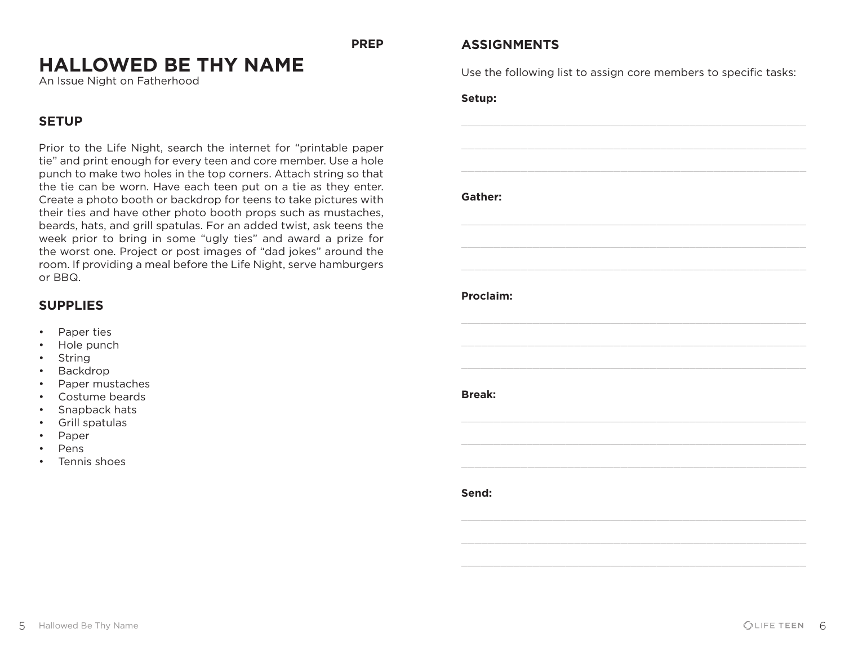**PREP**

## **HALLOWED BE THY NAME**

An Issue Night on Fatherhood

## **SETUP**

Prior to the Life Night, search the internet for "printable paper tie" and print enough for every teen and core member. Use a hole punch to make two holes in the top corners. Attach string so that the tie can be worn. Have each teen put on a tie as they enter. Create a photo booth or backdrop for teens to take pictures with their ties and have other photo booth props such as mustaches, beards, hats, and grill spatulas. For an added twist, ask teens the week prior to bring in some "ugly ties" and award a prize for the worst one. Project or post images of "dad jokes" around the room. If providing a meal before the Life Night, serve hamburgers or BBQ.

## **SUPPLIES**

- Paper ties
- Hole punch
- String
- Backdrop
- Paper mustaches
- Costume beards
- Snapback hats
- Grill spatulas
- Paper
- Pens
- Tennis shoes

## **ASSIGNMENTS**

Use the following list to assign core members to specific tasks:

**Setup:**

**Gather:**

#### **Proclaim:**

**Break:**

**Send:**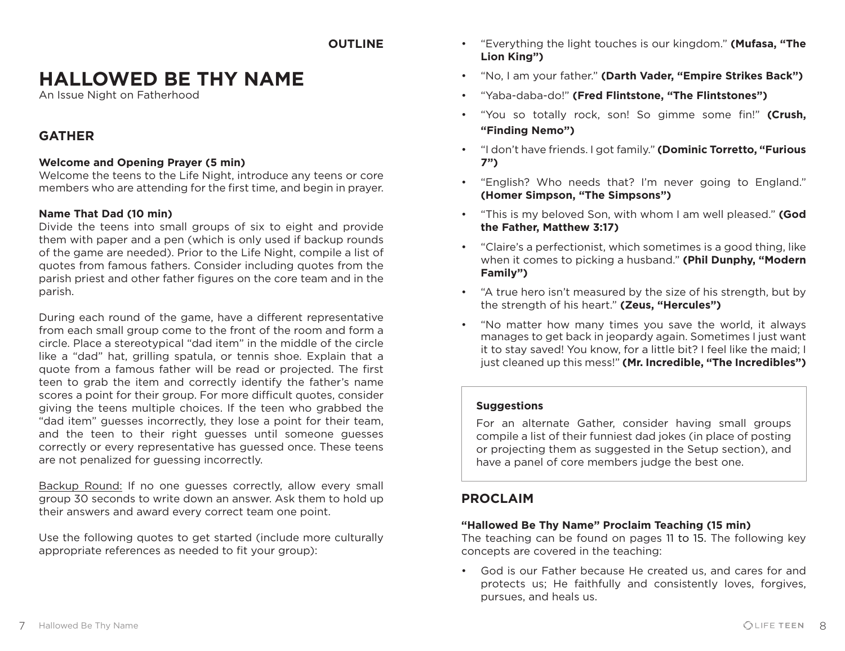**OUTLINE**

## **HALLOWED BE THY NAME**

An Issue Night on Fatherhood

## **GATHER**

#### **Welcome and Opening Prayer (5 min)**

Welcome the teens to the Life Night, introduce any teens or core members who are attending for the first time, and begin in prayer.

#### **Name That Dad (10 min)**

Divide the teens into small groups of six to eight and provide them with paper and a pen (which is only used if backup rounds of the game are needed). Prior to the Life Night, compile a list of quotes from famous fathers. Consider including quotes from the parish priest and other father figures on the core team and in the parish.

During each round of the game, have a different representative from each small group come to the front of the room and form a circle. Place a stereotypical "dad item" in the middle of the circle like a "dad" hat, grilling spatula, or tennis shoe. Explain that a quote from a famous father will be read or projected. The first teen to grab the item and correctly identify the father's name scores a point for their group. For more difficult quotes, consider giving the teens multiple choices. If the teen who grabbed the "dad item" guesses incorrectly, they lose a point for their team, and the teen to their right guesses until someone guesses correctly or every representative has guessed once. These teens are not penalized for guessing incorrectly.

Backup Round: If no one guesses correctly, allow every small group 30 seconds to write down an answer. Ask them to hold up their answers and award every correct team one point.

Use the following quotes to get started (include more culturally appropriate references as needed to fit your group):

- "Everything the light touches is our kingdom." **(Mufasa, "The Lion King")**
- "No, I am your father." **(Darth Vader, "Empire Strikes Back")**
- "Yaba-daba-do!" **(Fred Flintstone, "The Flintstones")**
- "You so totally rock, son! So gimme some fin!" **(Crush, "Finding Nemo")**
- "I don't have friends. I got family." **(Dominic Torretto, "Furious 7")**
- "English? Who needs that? I'm never going to England." **(Homer Simpson, "The Simpsons")**
- "This is my beloved Son, with whom I am well pleased." **(God the Father, Matthew 3:17)**
- "Claire's a perfectionist, which sometimes is a good thing, like when it comes to picking a husband." **(Phil Dunphy, "Modern Family")**
- "A true hero isn't measured by the size of his strength, but by the strength of his heart." **(Zeus, "Hercules")**
- "No matter how many times you save the world, it always manages to get back in jeopardy again. Sometimes I just want it to stay saved! You know, for a little bit? I feel like the maid; I just cleaned up this mess!" **(Mr. Incredible, "The Incredibles")**

#### **Suggestions**

For an alternate Gather, consider having small groups compile a list of their funniest dad jokes (in place of posting or projecting them as suggested in the Setup section), and have a panel of core members judge the best one.

## **PROCLAIM**

#### **"Hallowed Be Thy Name" Proclaim Teaching (15 min)**

The teaching can be found on pages 11 to 15. The following key concepts are covered in the teaching:

• God is our Father because He created us, and cares for and protects us; He faithfully and consistently loves, forgives, pursues, and heals us.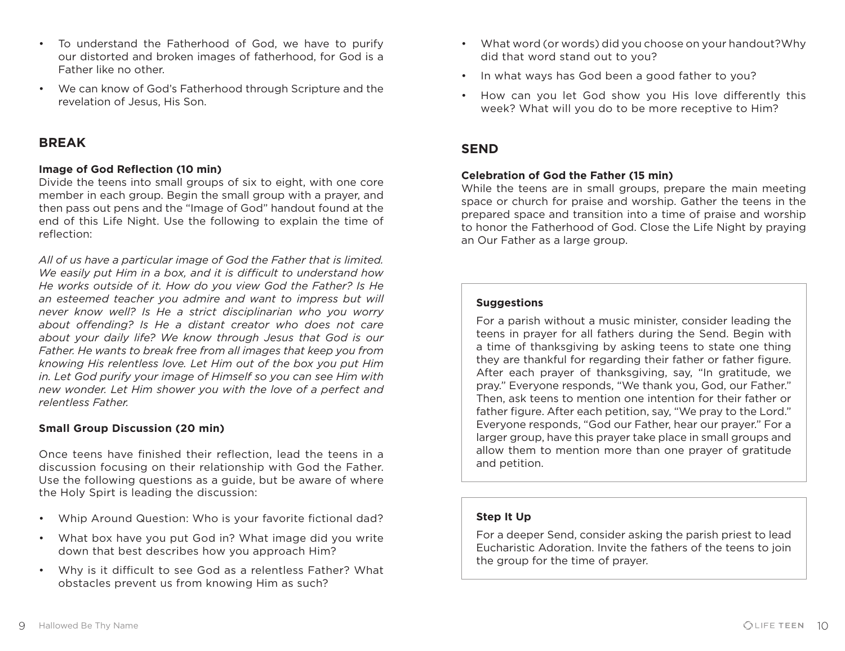• We can know of God's Fatherhood through Scripture and the revelation of Jesus, His Son.

## **BREAK**

#### **Image of God Reflection (10 min)**

Divide the teens into small groups of six to eight, with one core member in each group. Begin the small group with a prayer, and then pass out pens and the "Image of God" handout found at the end of this Life Night. Use the following to explain the time of reflection:

*All of us have a particular image of God the Father that is limited. We easily put Him in a box, and it is difficult to understand how He works outside of it. How do you view God the Father? Is He*  an esteemed teacher you admire and want to impress but will *never know well? Is He a strict disciplinarian who you worry about offending? Is He a distant creator who does not care about your daily life? We know through Jesus that God is our Father. He wants to break free from all images that keep you from knowing His relentless love. Let Him out of the box you put Him in. Let God purify your image of Himself so you can see Him with new wonder. Let Him shower you with the love of a perfect and relentless Father.*

#### **Small Group Discussion (20 min)**

Once teens have finished their reflection, lead the teens in a discussion focusing on their relationship with God the Father. Use the following questions as a guide, but be aware of where the Holy Spirt is leading the discussion:

- Whip Around Question: Who is your favorite fictional dad?
- What box have you put God in? What image did you write down that best describes how you approach Him?
- Why is it difficult to see God as a relentless Father? What obstacles prevent us from knowing Him as such?
- What word (or words) did you choose on your handout?Why did that word stand out to you?
- In what ways has God been a good father to you?
- How can you let God show you His love differently this week? What will you do to be more receptive to Him?

## **SEND**

#### **Celebration of God the Father (15 min)**

While the teens are in small groups, prepare the main meeting space or church for praise and worship. Gather the teens in the prepared space and transition into a time of praise and worship to honor the Fatherhood of God. Close the Life Night by praying an Our Father as a large group.

#### **Suggestions**

For a parish without a music minister, consider leading the teens in prayer for all fathers during the Send. Begin with a time of thanksgiving by asking teens to state one thing they are thankful for regarding their father or father figure. After each prayer of thanksgiving, say, "In gratitude, we pray." Everyone responds, "We thank you, God, our Father." Then, ask teens to mention one intention for their father or father figure. After each petition, say, "We pray to the Lord." Everyone responds, "God our Father, hear our prayer." For a larger group, have this prayer take place in small groups and allow them to mention more than one prayer of gratitude and petition.

#### **Step It Up**

For a deeper Send, consider asking the parish priest to lead Eucharistic Adoration. Invite the fathers of the teens to join the group for the time of prayer.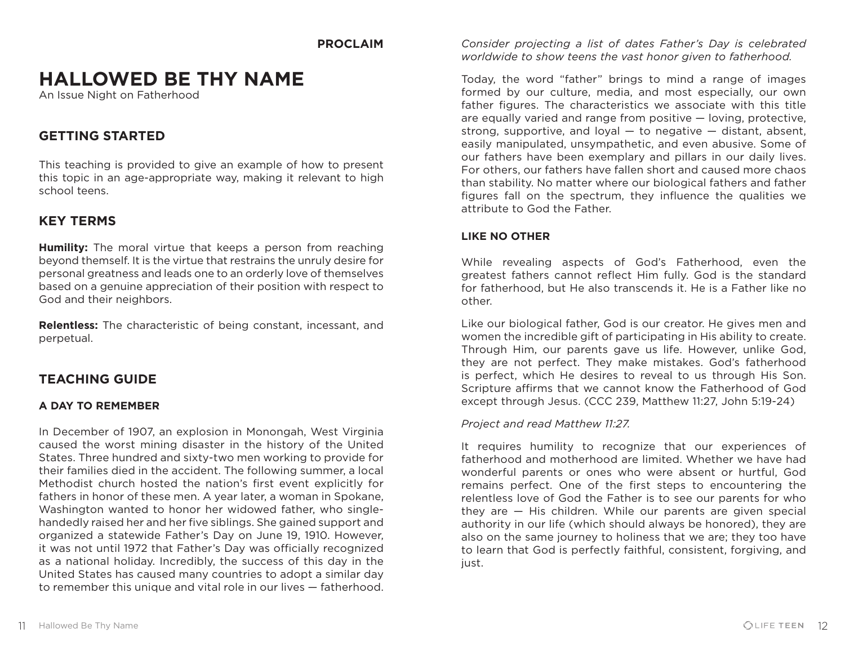#### **PROCLAIM**

## **HALLOWED BE THY NAME**

An Issue Night on Fatherhood

## **GETTING STARTED**

This teaching is provided to give an example of how to present this topic in an age-appropriate way, making it relevant to high school teens.

## **KEY TERMS**

**Humility:** The moral virtue that keeps a person from reaching beyond themself. It is the virtue that restrains the unruly desire for personal greatness and leads one to an orderly love of themselves based on a genuine appreciation of their position with respect to God and their neighbors.

**Relentless:** The characteristic of being constant, incessant, and perpetual.

## **TEACHING GUIDE**

#### **A DAY TO REMEMBER**

In December of 1907, an explosion in Monongah, West Virginia caused the worst mining disaster in the history of the United States. Three hundred and sixty-two men working to provide for their families died in the accident. The following summer, a local Methodist church hosted the nation's first event explicitly for fathers in honor of these men. A year later, a woman in Spokane, Washington wanted to honor her widowed father, who singlehandedly raised her and her five siblings. She gained support and organized a statewide Father's Day on June 19, 1910. However, it was not until 1972 that Father's Day was officially recognized as a national holiday. Incredibly, the success of this day in the United States has caused many countries to adopt a similar day to remember this unique and vital role in our lives — fatherhood. *Consider projecting a list of dates Father's Day is celebrated worldwide to show teens the vast honor given to fatherhood.*

Today, the word "father" brings to mind a range of images formed by our culture, media, and most especially, our own father figures. The characteristics we associate with this title are equally varied and range from positive — loving, protective, strong, supportive, and loyal  $-$  to negative  $-$  distant, absent, easily manipulated, unsympathetic, and even abusive. Some of our fathers have been exemplary and pillars in our daily lives. For others, our fathers have fallen short and caused more chaos than stability. No matter where our biological fathers and father figures fall on the spectrum, they influence the qualities we attribute to God the Father.

#### **LIKE NO OTHER**

While revealing aspects of God's Fatherhood, even the greatest fathers cannot reflect Him fully. God is the standard for fatherhood, but He also transcends it. He is a Father like no other.

Like our biological father, God is our creator. He gives men and women the incredible gift of participating in His ability to create. Through Him, our parents gave us life. However, unlike God, they are not perfect. They make mistakes. God's fatherhood is perfect, which He desires to reveal to us through His Son. Scripture affirms that we cannot know the Fatherhood of God except through Jesus. (CCC 239, Matthew 11:27, John 5:19-24)

#### *Project and read Matthew 11:27.*

It requires humility to recognize that our experiences of fatherhood and motherhood are limited. Whether we have had wonderful parents or ones who were absent or hurtful, God remains perfect. One of the first steps to encountering the relentless love of God the Father is to see our parents for who they are — His children. While our parents are given special authority in our life (which should always be honored), they are also on the same journey to holiness that we are; they too have to learn that God is perfectly faithful, consistent, forgiving, and just.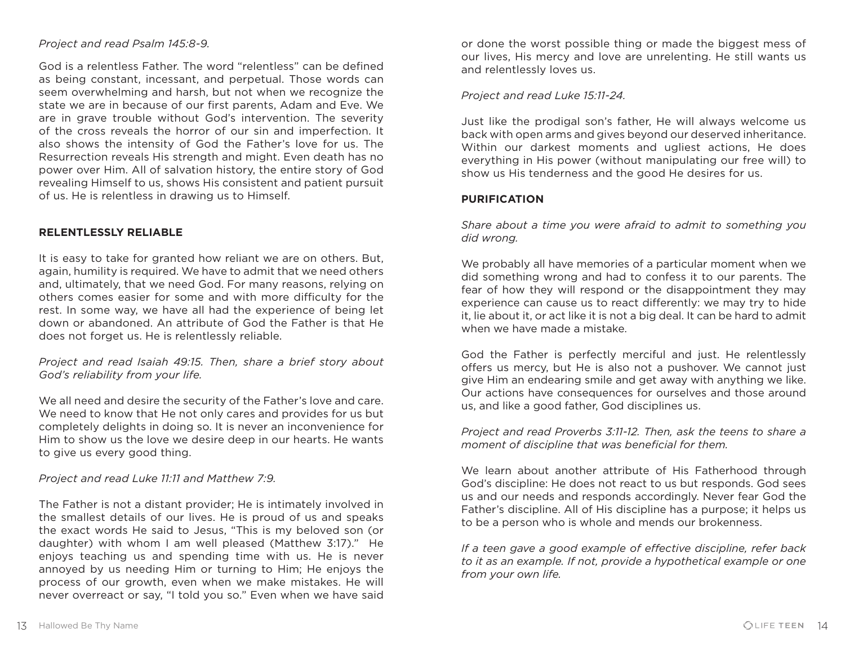#### *Project and read Psalm 145:8-9.*

God is a relentless Father. The word "relentless" can be defined as being constant, incessant, and perpetual. Those words can seem overwhelming and harsh, but not when we recognize the state we are in because of our first parents, Adam and Eve. We are in grave trouble without God's intervention. The severity of the cross reveals the horror of our sin and imperfection. It also shows the intensity of God the Father's love for us. The Resurrection reveals His strength and might. Even death has no power over Him. All of salvation history, the entire story of God revealing Himself to us, shows His consistent and patient pursuit of us. He is relentless in drawing us to Himself.

#### **RELENTLESSLY RELIABLE**

It is easy to take for granted how reliant we are on others. But, again, humility is required. We have to admit that we need others and, ultimately, that we need God. For many reasons, relying on others comes easier for some and with more difficulty for the rest. In some way, we have all had the experience of being let down or abandoned. An attribute of God the Father is that He does not forget us. He is relentlessly reliable.

#### *Project and read Isaiah 49:15. Then, share a brief story about God's reliability from your life.*

We all need and desire the security of the Father's love and care. We need to know that He not only cares and provides for us but completely delights in doing so. It is never an inconvenience for Him to show us the love we desire deep in our hearts. He wants to give us every good thing.

*Project and read Luke 11:11 and Matthew 7:9.* 

The Father is not a distant provider; He is intimately involved in the smallest details of our lives. He is proud of us and speaks the exact words He said to Jesus, "This is my beloved son (or daughter) with whom I am well pleased (Matthew 3:17)." He enjoys teaching us and spending time with us. He is never annoyed by us needing Him or turning to Him; He enjoys the process of our growth, even when we make mistakes. He will never overreact or say, "I told you so." Even when we have said

or done the worst possible thing or made the biggest mess of our lives, His mercy and love are unrelenting. He still wants us and relentlessly loves us.

#### *Project and read Luke 15:11-24.*

Just like the prodigal son's father, He will always welcome us back with open arms and gives beyond our deserved inheritance. Within our darkest moments and ugliest actions, He does everything in His power (without manipulating our free will) to show us His tenderness and the good He desires for us.

#### **PURIFICATION**

*Share about a time you were afraid to admit to something you did wrong.* 

We probably all have memories of a particular moment when we did something wrong and had to confess it to our parents. The fear of how they will respond or the disappointment they may experience can cause us to react differently: we may try to hide it, lie about it, or act like it is not a big deal. It can be hard to admit when we have made a mistake.

God the Father is perfectly merciful and just. He relentlessly offers us mercy, but He is also not a pushover. We cannot just give Him an endearing smile and get away with anything we like. Our actions have consequences for ourselves and those around us, and like a good father, God disciplines us.

*Project and read Proverbs 3:11-12. Then, ask the teens to share a moment of discipline that was beneficial for them.* 

We learn about another attribute of His Fatherhood through God's discipline: He does not react to us but responds. God sees us and our needs and responds accordingly. Never fear God the Father's discipline. All of His discipline has a purpose; it helps us to be a person who is whole and mends our brokenness.

*If a teen gave a good example of effective discipline, refer back to it as an example. If not, provide a hypothetical example or one from your own life.*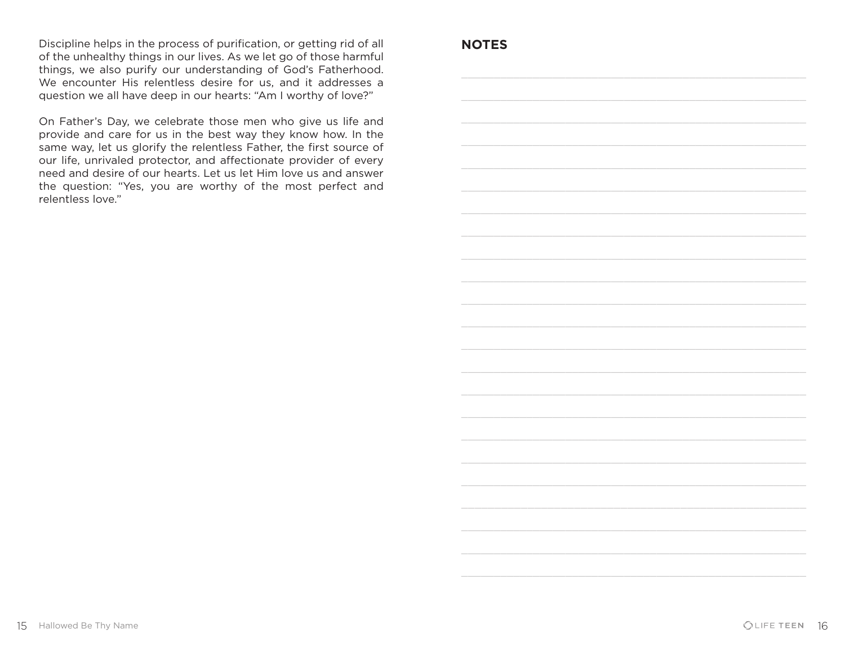Discipline helps in the process of purification, or getting rid of all of the unhealthy things in our lives. As we let go of those harmful things, we also purify our understanding of God's Fatherhood. We encounter His relentless desire for us, and it addresses a question we all have deep in our hearts: "Am I worthy of love?"

On Father's Day, we celebrate those men who give us life and provide and care for us in the best way they know how. In the same way, let us glorify the relentless Father, the first source of our life, unrivaled protector, and affectionate provider of every need and desire of our hearts. Let us let Him love us and answer the question: "Yes, you are worthy of the most perfect and relentless love."

### **NOTES**

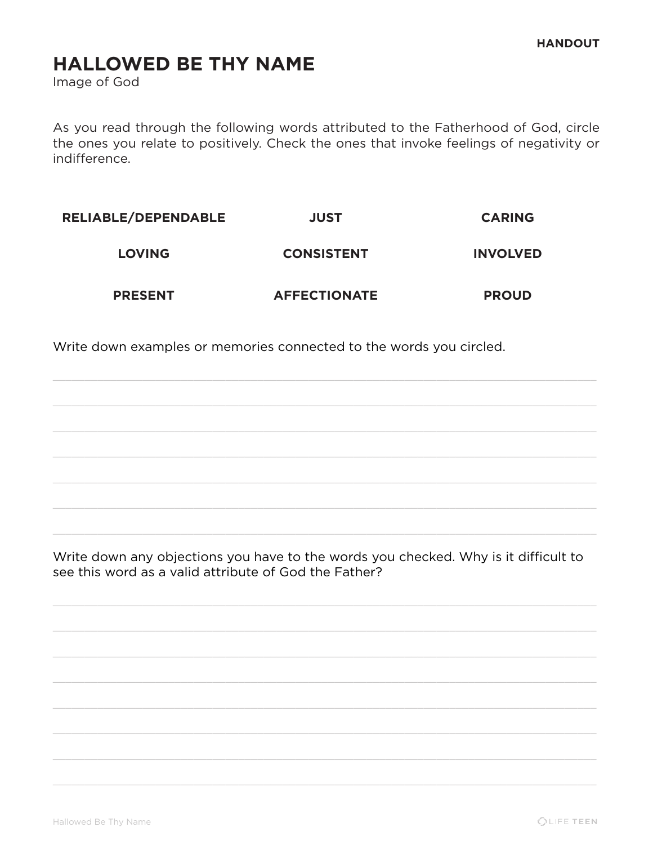# **HALLOWED BE THY NAME**

Image of God

As you read through the following words attributed to the Fatherhood of God, circle the ones you relate to positively. Check the ones that invoke feelings of negativity or indifference.

| <b>RELIABLE/DEPENDABLE</b> | <b>JUST</b>         | <b>CARING</b>   |
|----------------------------|---------------------|-----------------|
| <b>LOVING</b>              | <b>CONSISTENT</b>   | <b>INVOLVED</b> |
| <b>PRESENT</b>             | <b>AFFECTIONATE</b> | <b>PROUD</b>    |

Write down examples or memories connected to the words you circled.

Write down any objections you have to the words you checked. Why is it difficult to see this word as a valid attribute of God the Father?